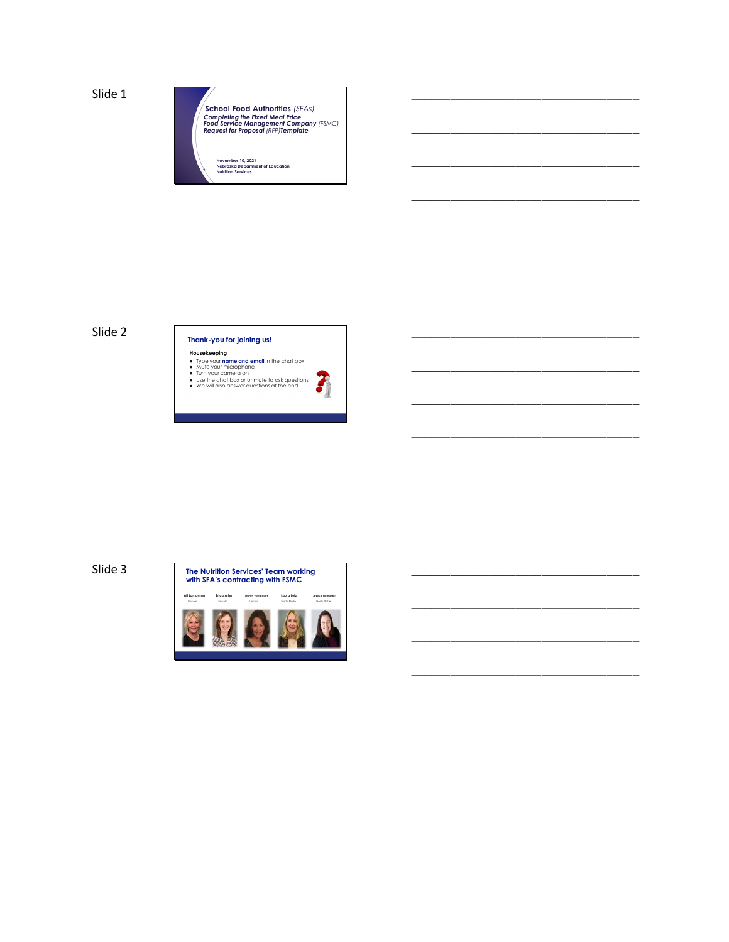Slide 1



\_\_\_\_\_\_\_\_\_\_\_\_\_\_\_\_\_\_\_\_\_\_\_\_\_\_\_\_\_\_\_\_\_\_\_

\_\_\_\_\_\_\_\_\_\_\_\_\_\_\_\_\_\_\_\_\_\_\_\_\_\_\_\_\_\_\_\_\_\_\_

\_\_\_\_\_\_\_\_\_\_\_\_\_\_\_\_\_\_\_\_\_\_\_\_\_\_\_\_\_\_\_\_\_\_\_

\_\_\_\_\_\_\_\_\_\_\_\_\_\_\_\_\_\_\_\_\_\_\_\_\_\_\_\_\_\_\_\_\_\_\_

\_\_\_\_\_\_\_\_\_\_\_\_\_\_\_\_\_\_\_\_\_\_\_\_\_\_\_\_\_\_\_\_\_\_\_

\_\_\_\_\_\_\_\_\_\_\_\_\_\_\_\_\_\_\_\_\_\_\_\_\_\_\_\_\_\_\_\_\_\_\_

\_\_\_\_\_\_\_\_\_\_\_\_\_\_\_\_\_\_\_\_\_\_\_\_\_\_\_\_\_\_\_\_\_\_\_

\_\_\_\_\_\_\_\_\_\_\_\_\_\_\_\_\_\_\_\_\_\_\_\_\_\_\_\_\_\_\_\_\_\_\_

\_\_\_\_\_\_\_\_\_\_\_\_\_\_\_\_\_\_\_\_\_\_\_\_\_\_\_\_\_\_\_\_\_\_\_

\_\_\_\_\_\_\_\_\_\_\_\_\_\_\_\_\_\_\_\_\_\_\_\_\_\_\_\_\_\_\_\_\_\_\_

\_\_\_\_\_\_\_\_\_\_\_\_\_\_\_\_\_\_\_\_\_\_\_\_\_\_\_\_\_\_\_\_\_\_\_

\_\_\_\_\_\_\_\_\_\_\_\_\_\_\_\_\_\_\_\_\_\_\_\_\_\_\_\_\_\_\_\_\_\_\_

Slide 2



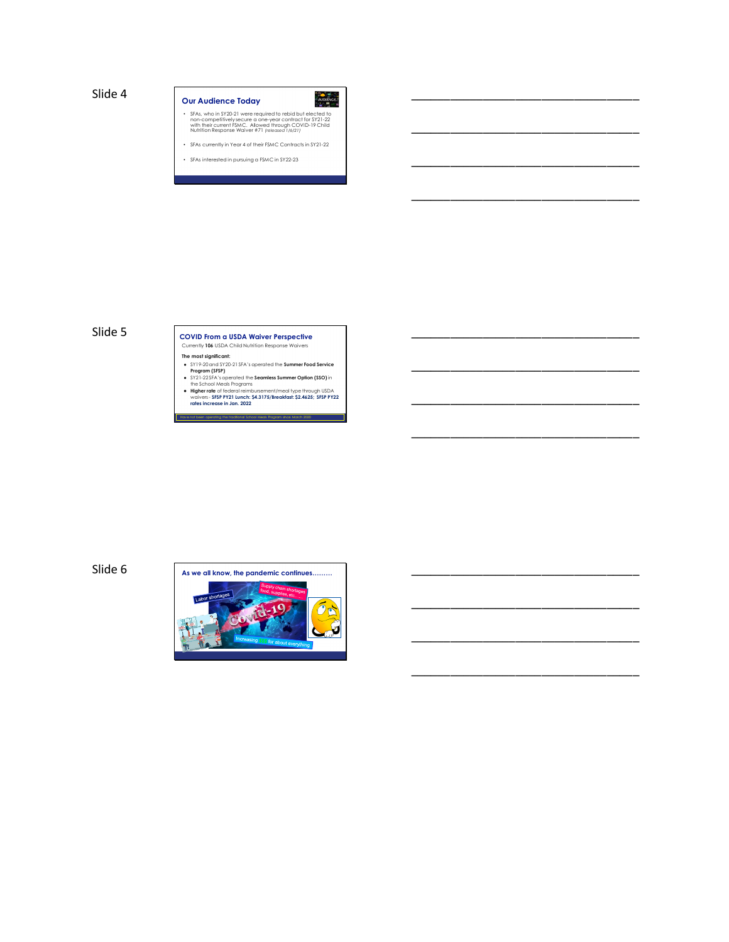

\_\_\_\_\_\_\_\_\_\_\_\_\_\_\_\_\_\_\_\_\_\_\_\_\_\_\_\_\_\_\_\_\_\_\_

\_\_\_\_\_\_\_\_\_\_\_\_\_\_\_\_\_\_\_\_\_\_\_\_\_\_\_\_\_\_\_\_\_\_\_

\_\_\_\_\_\_\_\_\_\_\_\_\_\_\_\_\_\_\_\_\_\_\_\_\_\_\_\_\_\_\_\_\_\_\_

\_\_\_\_\_\_\_\_\_\_\_\_\_\_\_\_\_\_\_\_\_\_\_\_\_\_\_\_\_\_\_\_\_\_\_

\_\_\_\_\_\_\_\_\_\_\_\_\_\_\_\_\_\_\_\_\_\_\_\_\_\_\_\_\_\_\_\_\_\_\_

\_\_\_\_\_\_\_\_\_\_\_\_\_\_\_\_\_\_\_\_\_\_\_\_\_\_\_\_\_\_\_\_\_\_\_

\_\_\_\_\_\_\_\_\_\_\_\_\_\_\_\_\_\_\_\_\_\_\_\_\_\_\_\_\_\_\_\_\_\_\_

\_\_\_\_\_\_\_\_\_\_\_\_\_\_\_\_\_\_\_\_\_\_\_\_\_\_\_\_\_\_\_\_\_\_\_

\_\_\_\_\_\_\_\_\_\_\_\_\_\_\_\_\_\_\_\_\_\_\_\_\_\_\_\_\_\_\_\_\_\_\_

\_\_\_\_\_\_\_\_\_\_\_\_\_\_\_\_\_\_\_\_\_\_\_\_\_\_\_\_\_\_\_\_\_\_\_

## Slide 5 **COVID From a USDA Waiver Perspective** Currently **106** USDA Child Nutrition Response Waivers

- 
- 
- 
- The most significant:<br>
CFIN 20201672021 SFA's operated the Summer Food Service<br>
CFIN 202016722 SFA's operated the Seamless Summer Option (SSO) in<br>
ST21-2257-X spectrated the Seamless Summer Option (SSO) in<br>
the School Medi en operating the traditional School Meals Program since March 2020

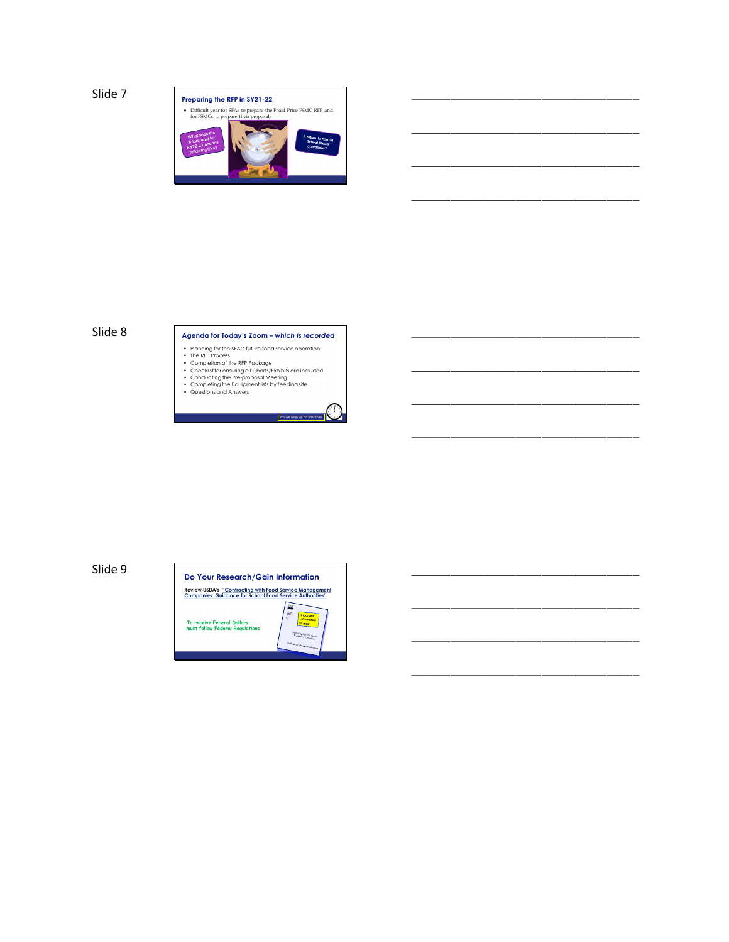

\_\_\_\_\_\_\_\_\_\_\_\_\_\_\_\_\_\_\_\_\_\_\_\_\_\_\_\_\_\_\_\_\_\_\_

\_\_\_\_\_\_\_\_\_\_\_\_\_\_\_\_\_\_\_\_\_\_\_\_\_\_\_\_\_\_\_\_\_\_\_

\_\_\_\_\_\_\_\_\_\_\_\_\_\_\_\_\_\_\_\_\_\_\_\_\_\_\_\_\_\_\_\_\_\_\_

\_\_\_\_\_\_\_\_\_\_\_\_\_\_\_\_\_\_\_\_\_\_\_\_\_\_\_\_\_\_\_\_\_\_\_

\_\_\_\_\_\_\_\_\_\_\_\_\_\_\_\_\_\_\_\_\_\_\_\_\_\_\_\_\_\_\_\_\_\_\_

\_\_\_\_\_\_\_\_\_\_\_\_\_\_\_\_\_\_\_\_\_\_\_\_\_\_\_\_\_\_\_\_\_\_\_

\_\_\_\_\_\_\_\_\_\_\_\_\_\_\_\_\_\_\_\_\_\_\_\_\_\_\_\_\_\_\_\_\_\_\_

\_\_\_\_\_\_\_\_\_\_\_\_\_\_\_\_\_\_\_\_\_\_\_\_\_\_\_\_\_\_\_\_\_\_\_

\_\_\_\_\_\_\_\_\_\_\_\_\_\_\_\_\_\_\_\_\_\_\_\_\_\_\_\_\_\_\_\_\_\_\_

\_\_\_\_\_\_\_\_\_\_\_\_\_\_\_\_\_\_\_\_\_\_\_\_\_\_\_\_\_\_\_\_\_\_\_

\_\_\_\_\_\_\_\_\_\_\_\_\_\_\_\_\_\_\_\_\_\_\_\_\_\_\_\_\_\_\_\_\_\_\_

## Slide 8 **Agenda for Today's Zoom –** *which is recorded*

We will wrap up no later than

- 
- 
- 
- Rianning for the SFA's future food service operation<br>• The RFP Process<br>• Completion of the RFP Package<br>• Checkist for ensuing all Charts/Exhibits are included<br>• Conducting the Equipment lists by feeding site<br>• Completing

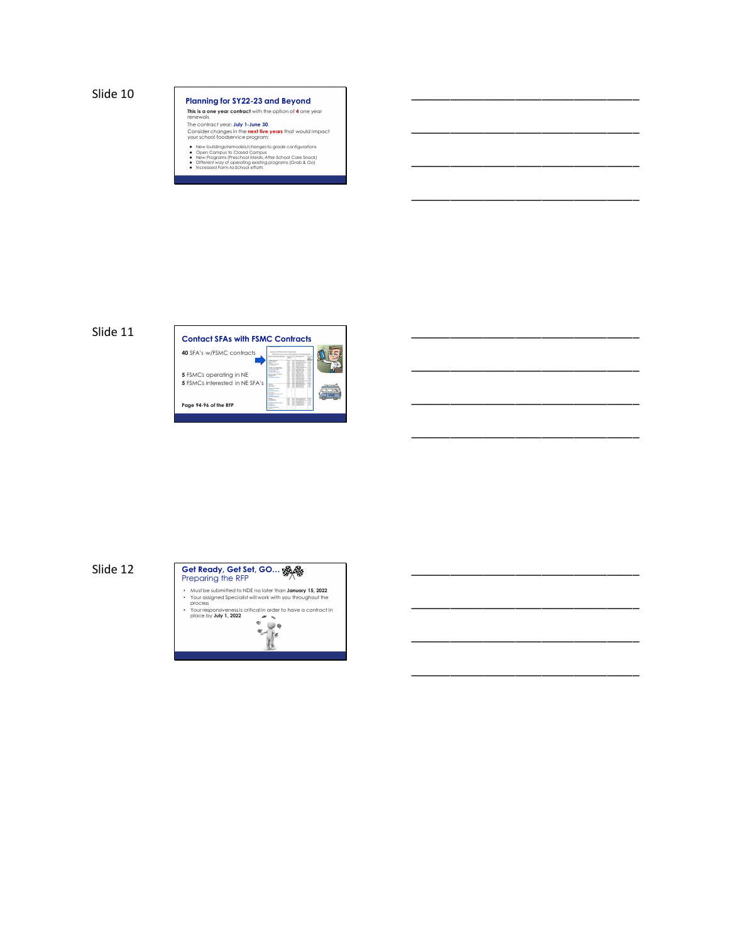## Slide 10 **Planning for SY22-23 and Beyond This is a one year contract** with the option of **4** one year renewals The contract year: **July 1-June 30**. Consider changes in the **next five years** that would impact your school foodservice program: • New buildings/remodels/changes to grade configurations<br>• Open Campus to Closed Campus<br>• New Programs (Preschool Meals, After-School Care Snack)<br>• Different way of operating existing programs (Grab & Go)<br>• Increased Farm-

\_\_\_\_\_\_\_\_\_\_\_\_\_\_\_\_\_\_\_\_\_\_\_\_\_\_\_\_\_\_\_\_\_\_\_

\_\_\_\_\_\_\_\_\_\_\_\_\_\_\_\_\_\_\_\_\_\_\_\_\_\_\_\_\_\_\_\_\_\_\_

\_\_\_\_\_\_\_\_\_\_\_\_\_\_\_\_\_\_\_\_\_\_\_\_\_\_\_\_\_\_\_\_\_\_\_

\_\_\_\_\_\_\_\_\_\_\_\_\_\_\_\_\_\_\_\_\_\_\_\_\_\_\_\_\_\_\_\_\_\_\_

\_\_\_\_\_\_\_\_\_\_\_\_\_\_\_\_\_\_\_\_\_\_\_\_\_\_\_\_\_\_\_\_\_\_\_

\_\_\_\_\_\_\_\_\_\_\_\_\_\_\_\_\_\_\_\_\_\_\_\_\_\_\_\_\_\_\_\_\_\_\_

\_\_\_\_\_\_\_\_\_\_\_\_\_\_\_\_\_\_\_\_\_\_\_\_\_\_\_\_\_\_\_\_\_\_\_

\_\_\_\_\_\_\_\_\_\_\_\_\_\_\_\_\_\_\_\_\_\_\_\_\_\_\_\_\_\_\_\_\_\_\_

\_\_\_\_\_\_\_\_\_\_\_\_\_\_\_\_\_\_\_\_\_\_\_\_\_\_\_\_\_\_\_\_\_\_\_

\_\_\_\_\_\_\_\_\_\_\_\_\_\_\_\_\_\_\_\_\_\_\_\_\_\_\_\_\_\_\_\_\_\_\_

\_\_\_\_\_\_\_\_\_\_\_\_\_\_\_\_\_\_\_\_\_\_\_\_\_\_\_\_\_\_\_\_\_\_\_



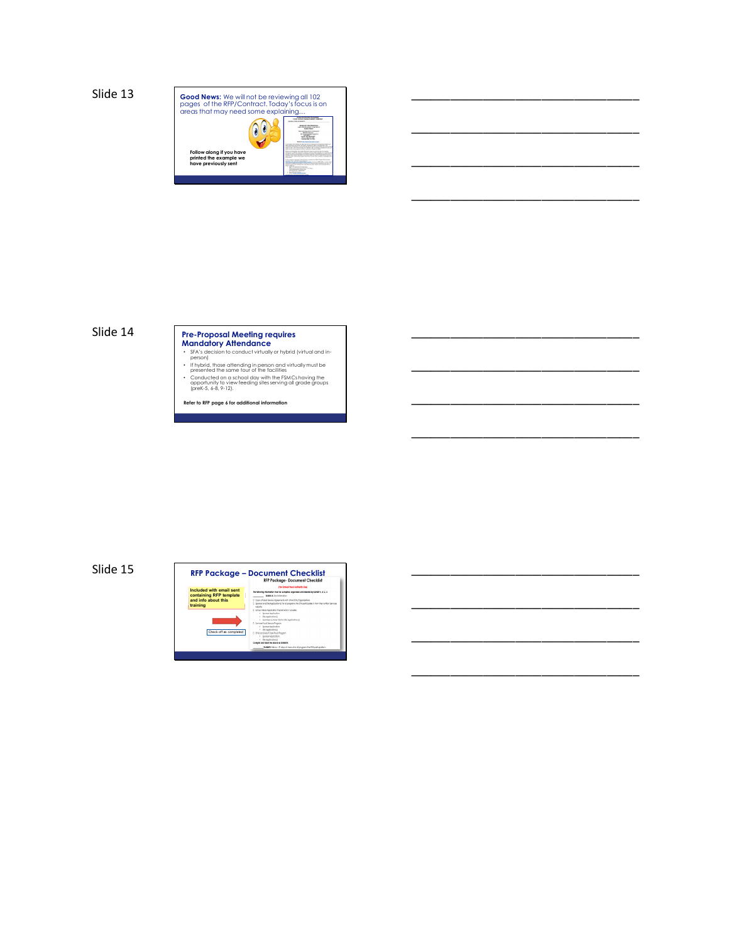

\_\_\_\_\_\_\_\_\_\_\_\_\_\_\_\_\_\_\_\_\_\_\_\_\_\_\_\_\_\_\_\_\_\_\_

\_\_\_\_\_\_\_\_\_\_\_\_\_\_\_\_\_\_\_\_\_\_\_\_\_\_\_\_\_\_\_\_\_\_\_

\_\_\_\_\_\_\_\_\_\_\_\_\_\_\_\_\_\_\_\_\_\_\_\_\_\_\_\_\_\_\_\_\_\_\_

\_\_\_\_\_\_\_\_\_\_\_\_\_\_\_\_\_\_\_\_\_\_\_\_\_\_\_\_\_\_\_\_\_\_\_

\_\_\_\_\_\_\_\_\_\_\_\_\_\_\_\_\_\_\_\_\_\_\_\_\_\_\_\_\_\_\_\_\_\_\_

\_\_\_\_\_\_\_\_\_\_\_\_\_\_\_\_\_\_\_\_\_\_\_\_\_\_\_\_\_\_\_\_\_\_\_

\_\_\_\_\_\_\_\_\_\_\_\_\_\_\_\_\_\_\_\_\_\_\_\_\_\_\_\_\_\_\_\_\_\_\_

\_\_\_\_\_\_\_\_\_\_\_\_\_\_\_\_\_\_\_\_\_\_\_\_\_\_\_\_\_\_\_\_\_\_\_

\_\_\_\_\_\_\_\_\_\_\_\_\_\_\_\_\_\_\_\_\_\_\_\_\_\_\_\_\_\_\_\_\_\_\_

\_\_\_\_\_\_\_\_\_\_\_\_\_\_\_\_\_\_\_\_\_\_\_\_\_\_\_\_\_\_\_\_\_\_\_

\_\_\_\_\_\_\_\_\_\_\_\_\_\_\_\_\_\_\_\_\_\_\_\_\_\_\_\_\_\_\_\_\_\_\_

# Slide 14<br>
Pre-Proposal Meeting requires<br>
Mandatory Attendance<br>
FA's decision to conduct virtually or hybrid (virtual and in-<br>
person)<br>
or thronid, those attending in person and virtually must be<br>
the conducted on a school

- 
- 
- 

**Refer to RFP page 6 for additional information** 

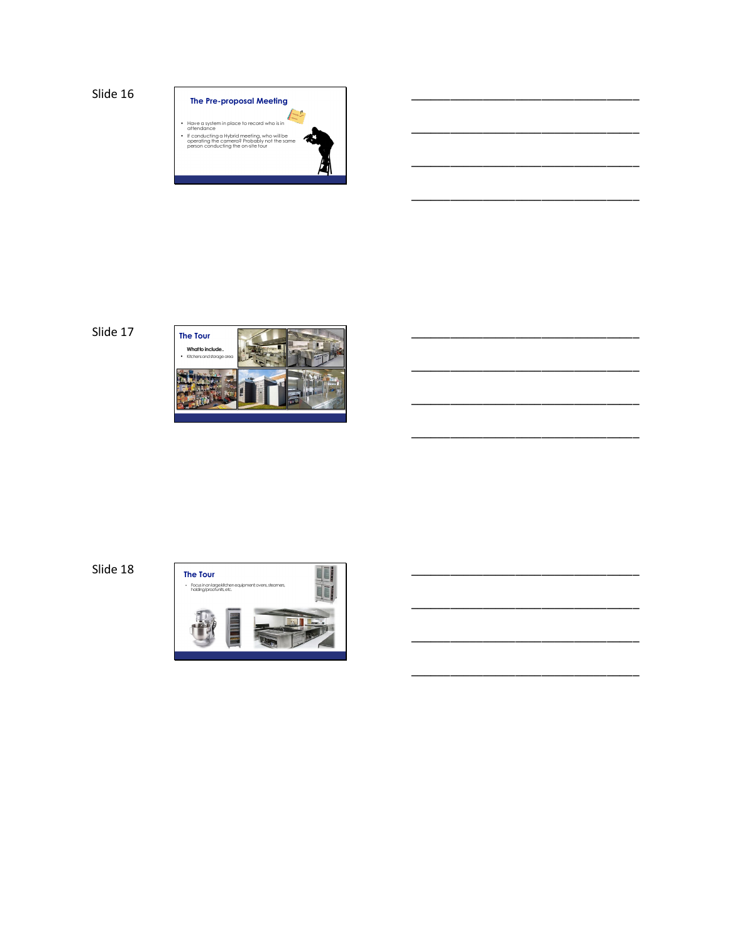Slide 16



\_\_\_\_\_\_\_\_\_\_\_\_\_\_\_\_\_\_\_\_\_\_\_\_\_\_\_\_\_\_\_\_\_\_\_

\_\_\_\_\_\_\_\_\_\_\_\_\_\_\_\_\_\_\_\_\_\_\_\_\_\_\_\_\_\_\_\_\_\_\_

\_\_\_\_\_\_\_\_\_\_\_\_\_\_\_\_\_\_\_\_\_\_\_\_\_\_\_\_\_\_\_\_\_\_\_

\_\_\_\_\_\_\_\_\_\_\_\_\_\_\_\_\_\_\_\_\_\_\_\_\_\_\_\_\_\_\_\_\_\_\_

\_\_\_\_\_\_\_\_\_\_\_\_\_\_\_\_\_\_\_\_\_\_\_\_\_\_\_\_\_\_\_\_\_\_\_

\_\_\_\_\_\_\_\_\_\_\_\_\_\_\_\_\_\_\_\_\_\_\_\_\_\_\_\_\_\_\_\_\_\_\_

\_\_\_\_\_\_\_\_\_\_\_\_\_\_\_\_\_\_\_\_\_\_\_\_\_\_\_\_\_\_\_\_\_\_\_

\_\_\_\_\_\_\_\_\_\_\_\_\_\_\_\_\_\_\_\_\_\_\_\_\_\_\_\_\_\_\_\_\_\_\_

\_\_\_\_\_\_\_\_\_\_\_\_\_\_\_\_\_\_\_\_\_\_\_\_\_\_\_\_\_\_\_\_\_\_\_

\_\_\_\_\_\_\_\_\_\_\_\_\_\_\_\_\_\_\_\_\_\_\_\_\_\_\_\_\_\_\_\_\_\_\_

\_\_\_\_\_\_\_\_\_\_\_\_\_\_\_\_\_\_\_\_\_\_\_\_\_\_\_\_\_\_\_\_\_\_\_



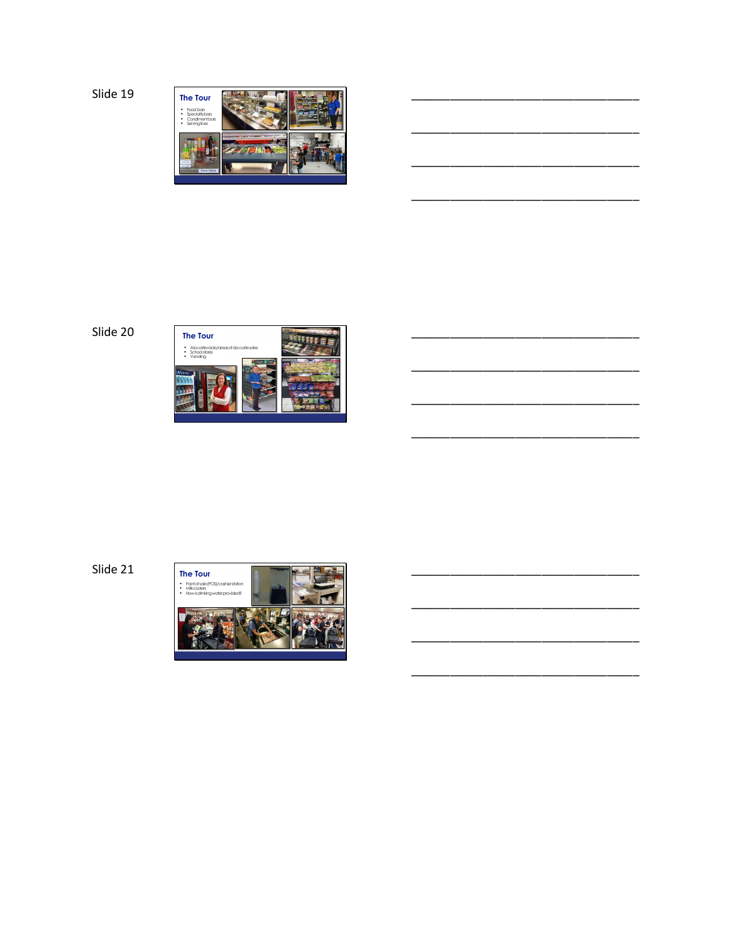

\_\_\_\_\_\_\_\_\_\_\_\_\_\_\_\_\_\_\_\_\_\_\_\_\_\_\_\_\_\_\_\_\_\_\_

\_\_\_\_\_\_\_\_\_\_\_\_\_\_\_\_\_\_\_\_\_\_\_\_\_\_\_\_\_\_\_\_\_\_\_

\_\_\_\_\_\_\_\_\_\_\_\_\_\_\_\_\_\_\_\_\_\_\_\_\_\_\_\_\_\_\_\_\_\_\_

\_\_\_\_\_\_\_\_\_\_\_\_\_\_\_\_\_\_\_\_\_\_\_\_\_\_\_\_\_\_\_\_\_\_\_

\_\_\_\_\_\_\_\_\_\_\_\_\_\_\_\_\_\_\_\_\_\_\_\_\_\_\_\_\_\_\_\_\_\_\_

\_\_\_\_\_\_\_\_\_\_\_\_\_\_\_\_\_\_\_\_\_\_\_\_\_\_\_\_\_\_\_\_\_\_\_

\_\_\_\_\_\_\_\_\_\_\_\_\_\_\_\_\_\_\_\_\_\_\_\_\_\_\_\_\_\_\_\_\_\_\_

\_\_\_\_\_\_\_\_\_\_\_\_\_\_\_\_\_\_\_\_\_\_\_\_\_\_\_\_\_\_\_\_\_\_\_

\_\_\_\_\_\_\_\_\_\_\_\_\_\_\_\_\_\_\_\_\_\_\_\_\_\_\_\_\_\_\_\_\_\_\_

\_\_\_\_\_\_\_\_\_\_\_\_\_\_\_\_\_\_\_\_\_\_\_\_\_\_\_\_\_\_\_\_\_\_\_



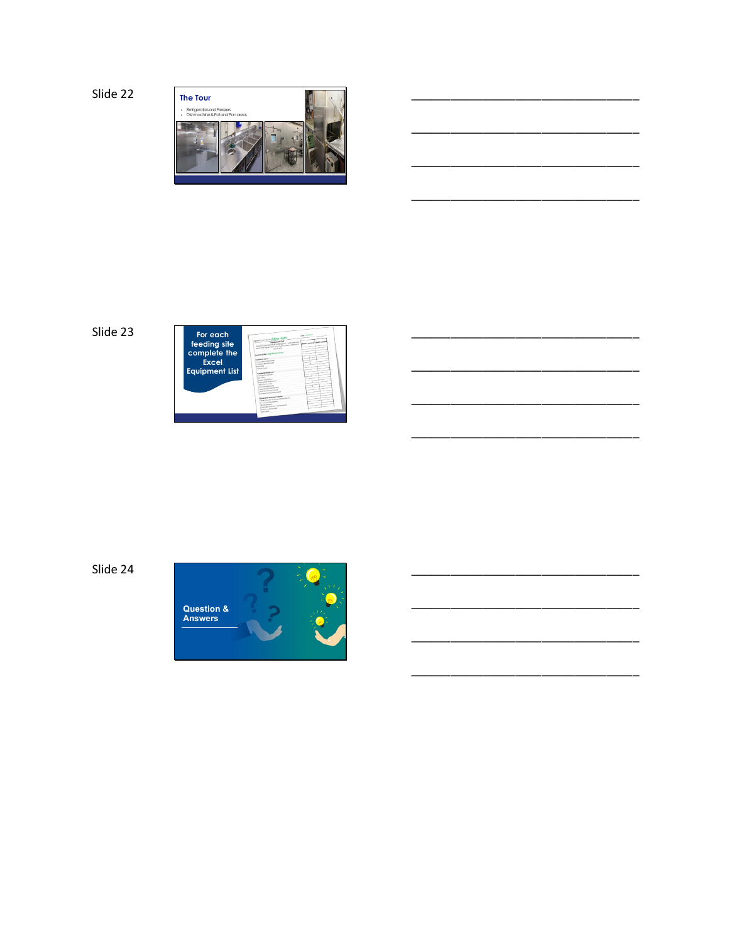Slide 22







Slide 24